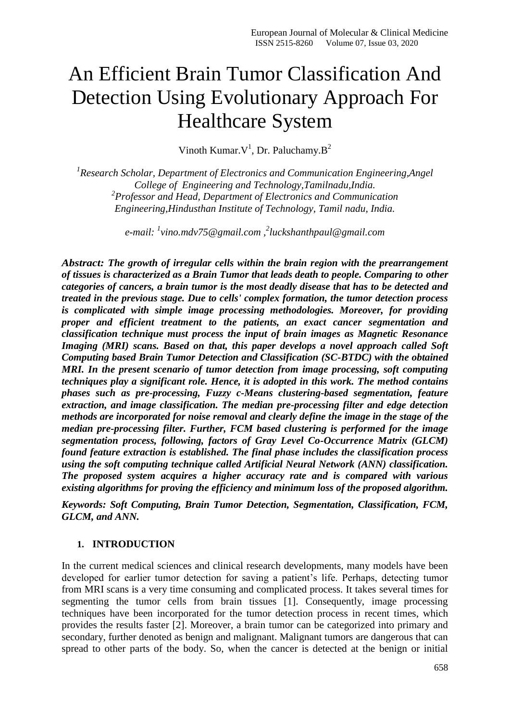# An Efficient Brain Tumor Classification And Detection Using Evolutionary Approach For Healthcare System

Vinoth Kumar. $V^1$ , Dr. Paluchamy. $B^2$ 

*1 Research Scholar, Department of Electronics and Communication Engineering,Angel College of Engineering and Technology,Tamilnadu,India. 2 Professor and Head, Department of Electronics and Communication Engineering,Hindusthan Institute of Technology, Tamil nadu, India.*

*e-mail:<sup>1</sup> vino.mdv75@gmail.com , 2 luckshanthpaul@gmail.com*

*Abstract: The growth of irregular cells within the brain region with the prearrangement of tissues is characterized as a Brain Tumor that leads death to people. Comparing to other categories of cancers, a brain tumor is the most deadly disease that has to be detected and treated in the previous stage. Due to cells' complex formation, the tumor detection process is complicated with simple image processing methodologies. Moreover, for providing proper and efficient treatment to the patients, an exact cancer segmentation and classification technique must process the input of brain images as Magnetic Resonance Imaging (MRI) scans. Based on that, this paper develops a novel approach called Soft Computing based Brain Tumor Detection and Classification (SC-BTDC) with the obtained MRI. In the present scenario of tumor detection from image processing, soft computing techniques play a significant role. Hence, it is adopted in this work. The method contains phases such as pre-processing, Fuzzy c-Means clustering-based segmentation, feature extraction, and image classification. The median pre-processing filter and edge detection methods are incorporated for noise removal and clearly define the image in the stage of the median pre-processing filter. Further, FCM based clustering is performed for the image segmentation process, following, factors of Gray Level Co-Occurrence Matrix (GLCM) found feature extraction is established. The final phase includes the classification process using the soft computing technique called Artificial Neural Network (ANN) classification. The proposed system acquires a higher accuracy rate and is compared with various existing algorithms for proving the efficiency and minimum loss of the proposed algorithm.*

*Keywords: Soft Computing, Brain Tumor Detection, Segmentation, Classification, FCM, GLCM, and ANN.*

## **1. INTRODUCTION**

In the current medical sciences and clinical research developments, many models have been developed for earlier tumor detection for saving a patient's life. Perhaps, detecting tumor from MRI scans is a very time consuming and complicated process. It takes several times for segmenting the tumor cells from brain tissues [1]. Consequently, image processing techniques have been incorporated for the tumor detection process in recent times, which provides the results faster [2]. Moreover, a brain tumor can be categorized into primary and secondary, further denoted as benign and malignant. Malignant tumors are dangerous that can spread to other parts of the body. So, when the cancer is detected at the benign or initial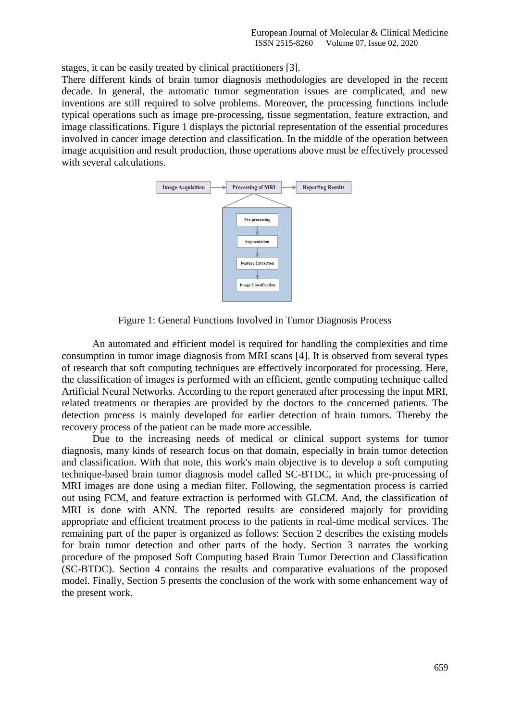stages, it can be easily treated by clinical practitioners [3].

There different kinds of brain tumor diagnosis methodologies are developed in the recent decade. In general, the automatic tumor segmentation issues are complicated, and new inventions are still required to solve problems. Moreover, the processing functions include typical operations such as image pre-processing, tissue segmentation, feature extraction, and image classifications. Figure 1 displays the pictorial representation of the essential procedures involved in cancer image detection and classification. In the middle of the operation between image acquisition and result production, those operations above must be effectively processed with several calculations.



Figure 1: General Functions Involved in Tumor Diagnosis Process

An automated and efficient model is required for handling the complexities and time consumption in tumor image diagnosis from MRI scans [4]. It is observed from several types of research that soft computing techniques are effectively incorporated for processing. Here, the classification of images is performed with an efficient, gentle computing technique called Artificial Neural Networks. According to the report generated after processing the input MRI, related treatments or therapies are provided by the doctors to the concerned patients. The detection process is mainly developed for earlier detection of brain tumors. Thereby the recovery process of the patient can be made more accessible.

Due to the increasing needs of medical or clinical support systems for tumor diagnosis, many kinds of research focus on that domain, especially in brain tumor detection and classification. With that note, this work's main objective is to develop a soft computing technique-based brain tumor diagnosis model called SC-BTDC, in which pre-processing of MRI images are done using a median filter. Following, the segmentation process is carried out using FCM, and feature extraction is performed with GLCM. And, the classification of MRI is done with ANN. The reported results are considered majorly for providing appropriate and efficient treatment process to the patients in real-time medical services. The remaining part of the paper is organized as follows: Section 2 describes the existing models for brain tumor detection and other parts of the body. Section 3 narrates the working procedure of the proposed Soft Computing based Brain Tumor Detection and Classification (SC-BTDC). Section 4 contains the results and comparative evaluations of the proposed model. Finally, Section 5 presents the conclusion of the work with some enhancement way of the present work.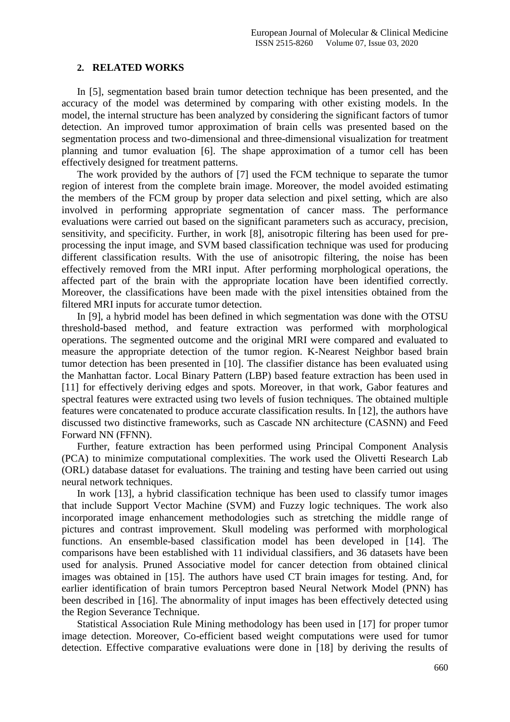#### **2. RELATED WORKS**

In [5], segmentation based brain tumor detection technique has been presented, and the accuracy of the model was determined by comparing with other existing models. In the model, the internal structure has been analyzed by considering the significant factors of tumor detection. An improved tumor approximation of brain cells was presented based on the segmentation process and two-dimensional and three-dimensional visualization for treatment planning and tumor evaluation [6]. The shape approximation of a tumor cell has been effectively designed for treatment patterns.

The work provided by the authors of [7] used the FCM technique to separate the tumor region of interest from the complete brain image. Moreover, the model avoided estimating the members of the FCM group by proper data selection and pixel setting, which are also involved in performing appropriate segmentation of cancer mass. The performance evaluations were carried out based on the significant parameters such as accuracy, precision, sensitivity, and specificity. Further, in work [8], anisotropic filtering has been used for preprocessing the input image, and SVM based classification technique was used for producing different classification results. With the use of anisotropic filtering, the noise has been effectively removed from the MRI input. After performing morphological operations, the affected part of the brain with the appropriate location have been identified correctly. Moreover, the classifications have been made with the pixel intensities obtained from the filtered MRI inputs for accurate tumor detection.

In [9], a hybrid model has been defined in which segmentation was done with the OTSU threshold-based method, and feature extraction was performed with morphological operations. The segmented outcome and the original MRI were compared and evaluated to measure the appropriate detection of the tumor region. K-Nearest Neighbor based brain tumor detection has been presented in [10]. The classifier distance has been evaluated using the Manhattan factor. Local Binary Pattern (LBP) based feature extraction has been used in [11] for effectively deriving edges and spots. Moreover, in that work, Gabor features and spectral features were extracted using two levels of fusion techniques. The obtained multiple features were concatenated to produce accurate classification results. In [12], the authors have discussed two distinctive frameworks, such as Cascade NN architecture (CASNN) and Feed Forward NN (FFNN).

Further, feature extraction has been performed using Principal Component Analysis (PCA) to minimize computational complexities. The work used the Olivetti Research Lab (ORL) database dataset for evaluations. The training and testing have been carried out using neural network techniques.

In work [13], a hybrid classification technique has been used to classify tumor images that include Support Vector Machine (SVM) and Fuzzy logic techniques. The work also incorporated image enhancement methodologies such as stretching the middle range of pictures and contrast improvement. Skull modeling was performed with morphological functions. An ensemble-based classification model has been developed in [14]. The comparisons have been established with 11 individual classifiers, and 36 datasets have been used for analysis. Pruned Associative model for cancer detection from obtained clinical images was obtained in [15]. The authors have used CT brain images for testing. And, for earlier identification of brain tumors Perceptron based Neural Network Model (PNN) has been described in [16]. The abnormality of input images has been effectively detected using the Region Severance Technique.

Statistical Association Rule Mining methodology has been used in [17] for proper tumor image detection. Moreover, Co-efficient based weight computations were used for tumor detection. Effective comparative evaluations were done in [18] by deriving the results of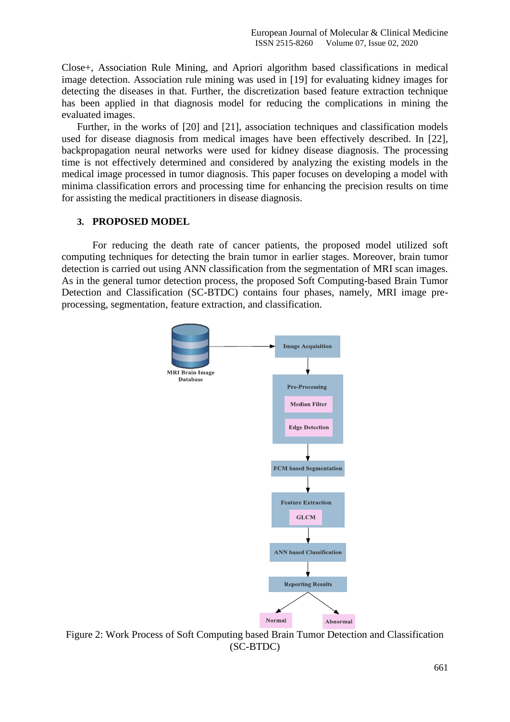Close+, Association Rule Mining, and Apriori algorithm based classifications in medical image detection. Association rule mining was used in [19] for evaluating kidney images for detecting the diseases in that. Further, the discretization based feature extraction technique has been applied in that diagnosis model for reducing the complications in mining the evaluated images.

Further, in the works of [20] and [21], association techniques and classification models used for disease diagnosis from medical images have been effectively described. In [22], backpropagation neural networks were used for kidney disease diagnosis. The processing time is not effectively determined and considered by analyzing the existing models in the medical image processed in tumor diagnosis. This paper focuses on developing a model with minima classification errors and processing time for enhancing the precision results on time for assisting the medical practitioners in disease diagnosis.

#### **3. PROPOSED MODEL**

For reducing the death rate of cancer patients, the proposed model utilized soft computing techniques for detecting the brain tumor in earlier stages. Moreover, brain tumor detection is carried out using ANN classification from the segmentation of MRI scan images. As in the general tumor detection process, the proposed Soft Computing-based Brain Tumor Detection and Classification (SC-BTDC) contains four phases, namely, MRI image preprocessing, segmentation, feature extraction, and classification.



Figure 2: Work Process of Soft Computing based Brain Tumor Detection and Classification (SC-BTDC)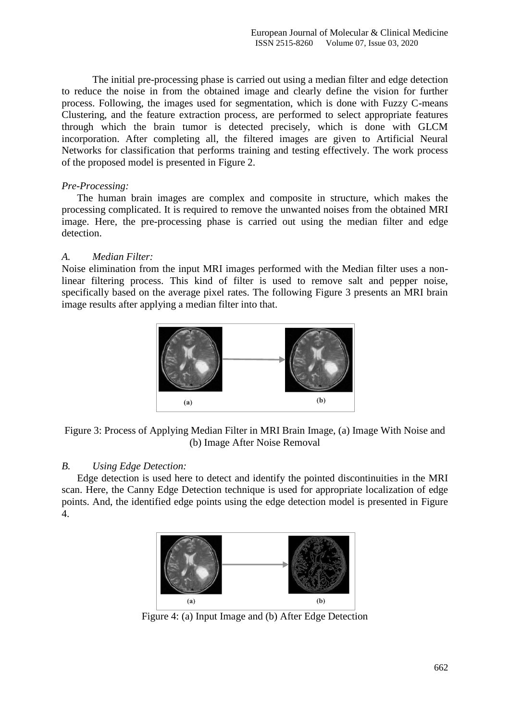The initial pre-processing phase is carried out using a median filter and edge detection to reduce the noise in from the obtained image and clearly define the vision for further process. Following, the images used for segmentation, which is done with Fuzzy C-means Clustering, and the feature extraction process, are performed to select appropriate features through which the brain tumor is detected precisely, which is done with GLCM incorporation. After completing all, the filtered images are given to Artificial Neural Networks for classification that performs training and testing effectively. The work process of the proposed model is presented in Figure 2.

## *Pre-Processing:*

The human brain images are complex and composite in structure, which makes the processing complicated. It is required to remove the unwanted noises from the obtained MRI image. Here, the pre-processing phase is carried out using the median filter and edge detection.

# *A. Median Filter:*

Noise elimination from the input MRI images performed with the Median filter uses a nonlinear filtering process. This kind of filter is used to remove salt and pepper noise, specifically based on the average pixel rates. The following Figure 3 presents an MRI brain image results after applying a median filter into that.





# *B. Using Edge Detection:*

Edge detection is used here to detect and identify the pointed discontinuities in the MRI scan. Here, the Canny Edge Detection technique is used for appropriate localization of edge points. And, the identified edge points using the edge detection model is presented in Figure 4.



Figure 4: (a) Input Image and (b) After Edge Detection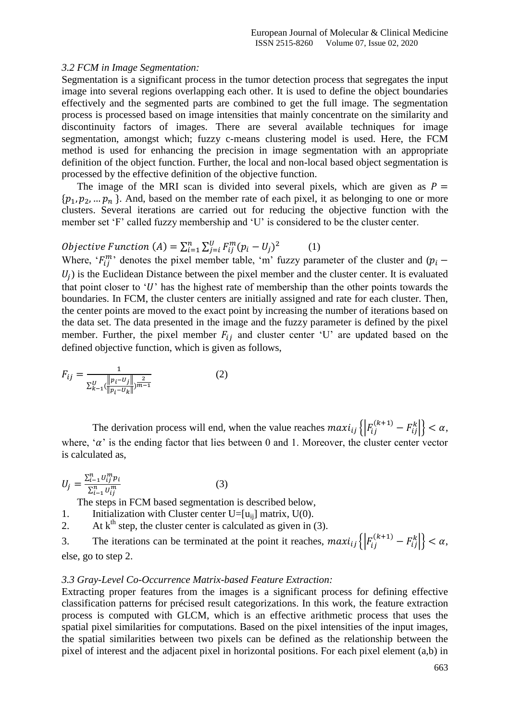#### *3.2 FCM in Image Segmentation:*

Segmentation is a significant process in the tumor detection process that segregates the input image into several regions overlapping each other. It is used to define the object boundaries effectively and the segmented parts are combined to get the full image. The segmentation process is processed based on image intensities that mainly concentrate on the similarity and discontinuity factors of images. There are several available techniques for image segmentation, amongst which; fuzzy c-means clustering model is used. Here, the FCM method is used for enhancing the precision in image segmentation with an appropriate definition of the object function. Further, the local and non-local based object segmentation is processed by the effective definition of the objective function.

The image of the MRI scan is divided into several pixels, which are given as  $P =$  $\{p_1, p_2, ..., p_n\}$ . And, based on the member rate of each pixel, it as belonging to one or more clusters. Several iterations are carried out for reducing the objective function with the member set 'F' called fuzzy membership and 'U' is considered to be the cluster center.

$$
Objective Function (A) = \sum_{i=1}^{n} \sum_{j=i}^{U} F_{ij}^{m} (p_i - U_j)^2
$$
 (1)

Where,  $F_{ii}^{m}$  denotes the pixel member table, 'm' fuzzy parameter of the cluster and (p  $U_i$ ) is the Euclidean Distance between the pixel member and the cluster center. It is evaluated that point closer to 'U' has the highest rate of membership than the other points towards the boundaries. In FCM, the cluster centers are initially assigned and rate for each cluster. Then, the center points are moved to the exact point by increasing the number of iterations based on the data set. The data presented in the image and the fuzzy parameter is defined by the pixel member. Further, the pixel member  $F_{ij}$  and cluster center 'U' are updated based on the defined objective function, which is given as follows,

$$
F_{ij} = \frac{1}{\sum_{k=1}^{U} (\frac{\|p_i - U_j\|}{\|p_i - U_k\|})^{\frac{2}{m-1}}}
$$
(2)

The derivation process will end, when the value reaches  $max_{i,j} \{ |F_{i,j}^{(k+1)} - F_{i,j}^{k}| \} < \alpha$ , where, " $\alpha$ " is the ending factor that lies between 0 and 1. Moreover, the cluster center vector is calculated as,

$$
U_j = \frac{\sum_{i=1}^n U_{ij}^m p_i}{\sum_{i=1}^n U_{ij}^m}
$$
 (3)

The steps in FCM based segmentation is described below,

1. Initialization with Cluster center U=[u<sub>ii</sub>] matrix,  $U(0)$ .

2. At  $k<sup>th</sup>$  step, the cluster center is calculated as given in (3).

3. The iterations can be terminated at the point it reaches,  $max_{i} \{ |F_{i}^{(k+1)} - F_{i}^{k}| \} < \alpha$ , else, go to step 2.

## *3.3 Gray-Level Co-Occurrence Matrix-based Feature Extraction:*

Extracting proper features from the images is a significant process for defining effective classification patterns for précised result categorizations. In this work, the feature extraction process is computed with GLCM, which is an effective arithmetic process that uses the spatial pixel similarities for computations. Based on the pixel intensities of the input images, the spatial similarities between two pixels can be defined as the relationship between the pixel of interest and the adjacent pixel in horizontal positions. For each pixel element (a,b) in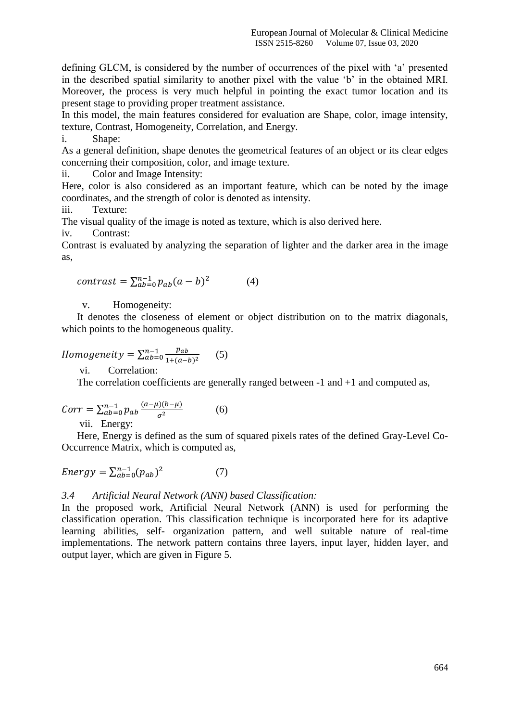defining GLCM, is considered by the number of occurrences of the pixel with "a" presented in the described spatial similarity to another pixel with the value "b" in the obtained MRI. Moreover, the process is very much helpful in pointing the exact tumor location and its present stage to providing proper treatment assistance.

In this model, the main features considered for evaluation are Shape, color, image intensity, texture, Contrast, Homogeneity, Correlation, and Energy.

i. Shape:

As a general definition, shape denotes the geometrical features of an object or its clear edges concerning their composition, color, and image texture.

ii. Color and Image Intensity:

Here, color is also considered as an important feature, which can be noted by the image coordinates, and the strength of color is denoted as intensity.

iii. Texture:

The visual quality of the image is noted as texture, which is also derived here.

iv. Contrast:

Contrast is evaluated by analyzing the separation of lighter and the darker area in the image as,

$$
contrast = \sum_{ab=0}^{n-1} p_{ab}(a-b)^2 \tag{4}
$$

v. Homogeneity:

It denotes the closeness of element or object distribution on to the matrix diagonals, which points to the homogeneous quality.

$$
Homogeneity = \sum_{ab=0}^{n-1} \frac{p_{ab}}{1 + (a-b)^2}
$$
 (5)

vi. Correlation:

The correlation coefficients are generally ranged between  $-1$  and  $+1$  and computed as,

$$
Corr = \sum_{ab=0}^{n-1} p_{ab} \frac{(a-\mu)(b-\mu)}{\sigma^2}
$$
 (6)

vii. Energy:

Here, Energy is defined as the sum of squared pixels rates of the defined Gray-Level Co-Occurrence Matrix, which is computed as,

$$
Energy = \sum_{ab=0}^{n-1} (p_{ab})^2
$$
 (7)

# *3.4 Artificial Neural Network (ANN) based Classification:*

In the proposed work, Artificial Neural Network (ANN) is used for performing the classification operation. This classification technique is incorporated here for its adaptive learning abilities, self- organization pattern, and well suitable nature of real-time implementations. The network pattern contains three layers, input layer, hidden layer, and output layer, which are given in Figure 5.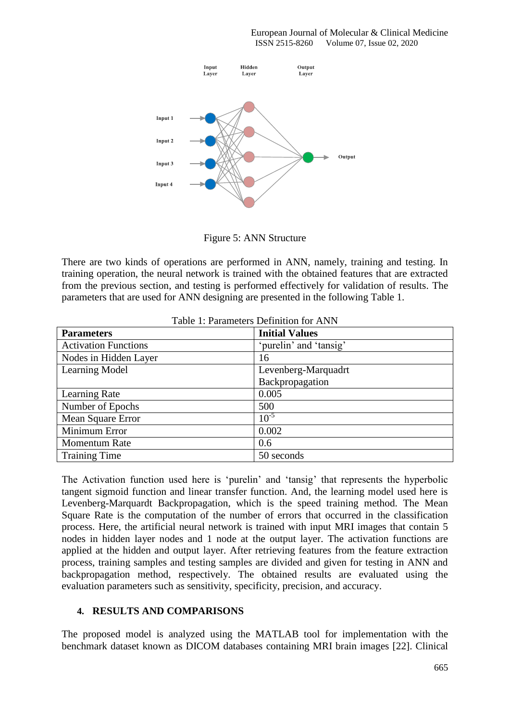European Journal of Molecular & Clinical Medicine ISSN 2515-8260 Volume 07, Issue 02, 2020



Figure 5: ANN Structure

There are two kinds of operations are performed in ANN, namely, training and testing. In training operation, the neural network is trained with the obtained features that are extracted from the previous section, and testing is performed effectively for validation of results. The parameters that are used for ANN designing are presented in the following Table 1.

| <b>Parameters</b>           | <b>Initial Values</b>  |  |
|-----------------------------|------------------------|--|
| <b>Activation Functions</b> | 'purelin' and 'tansig' |  |
| Nodes in Hidden Layer       | 16                     |  |
| Learning Model              | Levenberg-Marquadrt    |  |
|                             | Backpropagation        |  |
| Learning Rate               | 0.005                  |  |
| Number of Epochs            | 500                    |  |
| Mean Square Error           | $10^{-5}$              |  |
| Minimum Error               | 0.002                  |  |
| <b>Momentum Rate</b>        | 0.6                    |  |
| <b>Training Time</b>        | 50 seconds             |  |

#### Table 1: Parameters Definition for ANN

The Activation function used here is "purelin" and "tansig" that represents the hyperbolic tangent sigmoid function and linear transfer function. And, the learning model used here is Levenberg-Marquardt Backpropagation, which is the speed training method. The Mean Square Rate is the computation of the number of errors that occurred in the classification process. Here, the artificial neural network is trained with input MRI images that contain 5 nodes in hidden layer nodes and 1 node at the output layer. The activation functions are applied at the hidden and output layer. After retrieving features from the feature extraction process, training samples and testing samples are divided and given for testing in ANN and backpropagation method, respectively. The obtained results are evaluated using the evaluation parameters such as sensitivity, specificity, precision, and accuracy.

## **4. RESULTS AND COMPARISONS**

The proposed model is analyzed using the MATLAB tool for implementation with the benchmark dataset known as DICOM databases containing MRI brain images [22]. Clinical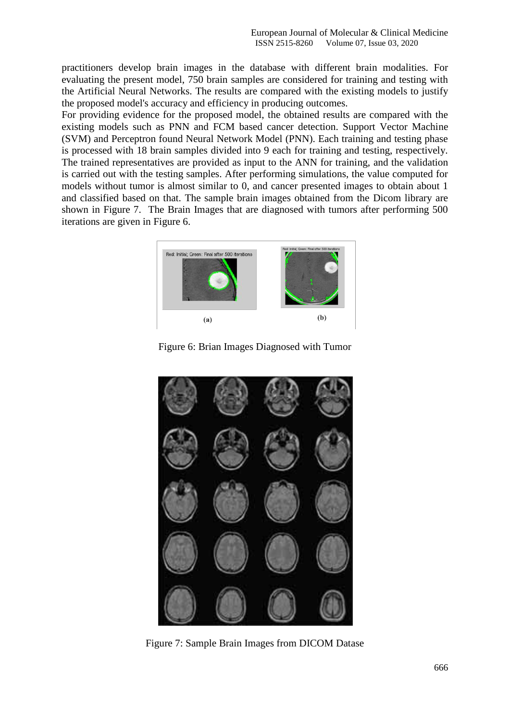practitioners develop brain images in the database with different brain modalities. For evaluating the present model, 750 brain samples are considered for training and testing with the Artificial Neural Networks. The results are compared with the existing models to justify the proposed model's accuracy and efficiency in producing outcomes.

For providing evidence for the proposed model, the obtained results are compared with the existing models such as PNN and FCM based cancer detection. Support Vector Machine (SVM) and Perceptron found Neural Network Model (PNN). Each training and testing phase is processed with 18 brain samples divided into 9 each for training and testing, respectively. The trained representatives are provided as input to the ANN for training, and the validation is carried out with the testing samples. After performing simulations, the value computed for models without tumor is almost similar to 0, and cancer presented images to obtain about 1 and classified based on that. The sample brain images obtained from the Dicom library are shown in Figure 7. The Brain Images that are diagnosed with tumors after performing 500 iterations are given in Figure 6.



Figure 6: Brian Images Diagnosed with Tumor



Figure 7: Sample Brain Images from DICOM Datase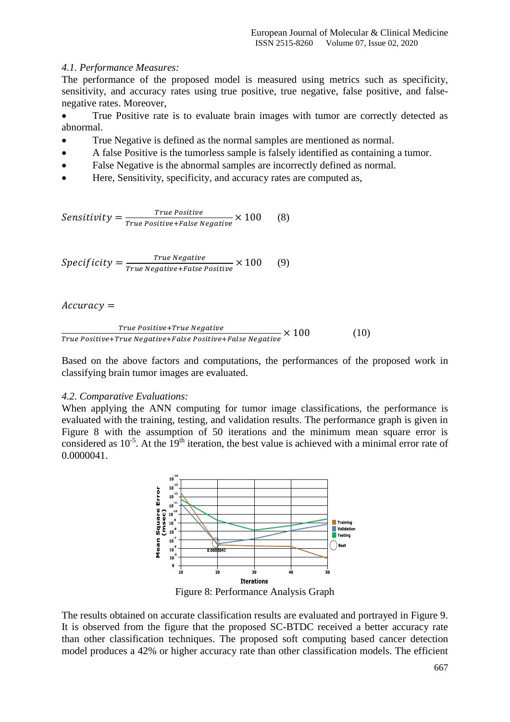## *4.1. Performance Measures:*

The performance of the proposed model is measured using metrics such as specificity, sensitivity, and accuracy rates using true positive, true negative, false positive, and falsenegative rates. Moreover,

 True Positive rate is to evaluate brain images with tumor are correctly detected as abnormal.

- True Negative is defined as the normal samples are mentioned as normal.
- A false Positive is the tumorless sample is falsely identified as containing a tumor.
- False Negative is the abnormal samples are incorrectly defined as normal.
- Here, Sensitivity, specificity, and accuracy rates are computed as,

Sensitivity  $=\frac{r}{\pi}$  $\frac{1}{\text{True Positive}} \times 100$  (8)

Specificity  $=\frac{T}{T}$  $\frac{1}{100}$  (9)<br>True Negative+False Positive  $\times$  100 (9)

## $Accuracy =$

$$
\frac{True \; Positive+True \; Negative}{True \; Positive+True \; Negative+False \; Positive+False \; Negative} \times 100 \tag{10}
$$

Based on the above factors and computations, the performances of the proposed work in classifying brain tumor images are evaluated.

## *4.2. Comparative Evaluations:*

When applying the ANN computing for tumor image classifications, the performance is evaluated with the training, testing, and validation results. The performance graph is given in Figure 8 with the assumption of 50 iterations and the minimum mean square error is considered as  $10^{-5}$ . At the 19<sup>th</sup> iteration, the best value is achieved with a minimal error rate of 0.0000041.



Figure 8: Performance Analysis Graph

The results obtained on accurate classification results are evaluated and portrayed in Figure 9. It is observed from the figure that the proposed SC-BTDC received a better accuracy rate than other classification techniques. The proposed soft computing based cancer detection model produces a 42% or higher accuracy rate than other classification models. The efficient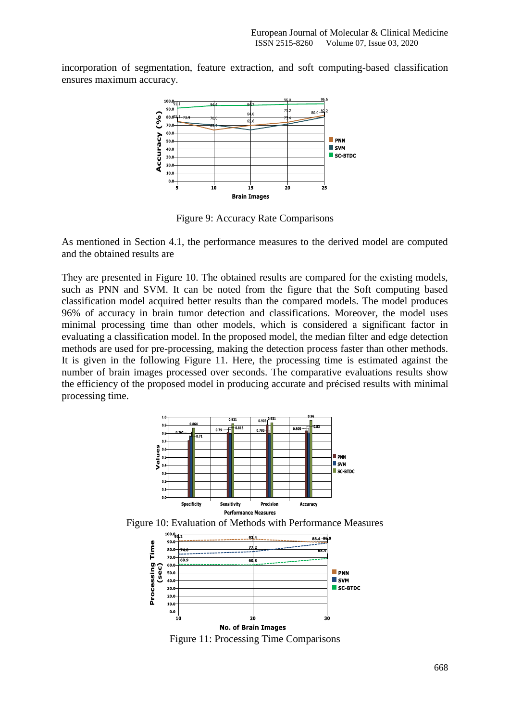incorporation of segmentation, feature extraction, and soft computing-based classification ensures maximum accuracy.



Figure 9: Accuracy Rate Comparisons

As mentioned in Section 4.1, the performance measures to the derived model are computed and the obtained results are

They are presented in Figure 10. The obtained results are compared for the existing models, such as PNN and SVM. It can be noted from the figure that the Soft computing based classification model acquired better results than the compared models. The model produces 96% of accuracy in brain tumor detection and classifications. Moreover, the model uses minimal processing time than other models, which is considered a significant factor in evaluating a classification model. In the proposed model, the median filter and edge detection methods are used for pre-processing, making the detection process faster than other methods. It is given in the following Figure 11. Here, the processing time is estimated against the number of brain images processed over seconds. The comparative evaluations results show the efficiency of the proposed model in producing accurate and précised results with minimal processing time.



Figure 10: Evaluation of Methods with Performance Measures



Figure 11: Processing Time Comparisons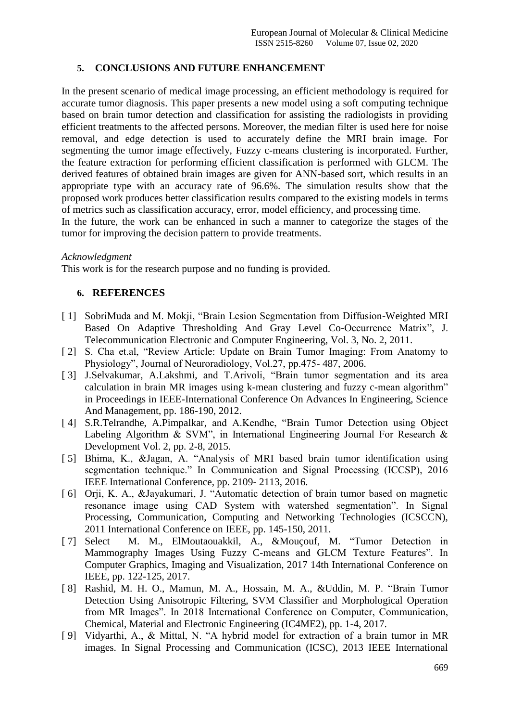# **5. CONCLUSIONS AND FUTURE ENHANCEMENT**

In the present scenario of medical image processing, an efficient methodology is required for accurate tumor diagnosis. This paper presents a new model using a soft computing technique based on brain tumor detection and classification for assisting the radiologists in providing efficient treatments to the affected persons. Moreover, the median filter is used here for noise removal, and edge detection is used to accurately define the MRI brain image. For segmenting the tumor image effectively, Fuzzy c-means clustering is incorporated. Further, the feature extraction for performing efficient classification is performed with GLCM. The derived features of obtained brain images are given for ANN-based sort, which results in an appropriate type with an accuracy rate of 96.6%. The simulation results show that the proposed work produces better classification results compared to the existing models in terms of metrics such as classification accuracy, error, model efficiency, and processing time.

In the future, the work can be enhanced in such a manner to categorize the stages of the tumor for improving the decision pattern to provide treatments.

#### *Acknowledgment*

This work is for the research purpose and no funding is provided.

## **6. REFERENCES**

- [ 1] SobriMuda and M. Mokji, "Brain Lesion Segmentation from Diffusion-Weighted MRI Based On Adaptive Thresholding And Gray Level Co-Occurrence Matrix", J. Telecommunication Electronic and Computer Engineering, Vol. 3, No. 2, 2011.
- [ 2] S. Cha et.al, "Review Article: Update on Brain Tumor Imaging: From Anatomy to Physiology", Journal of Neuroradiology, Vol.27, pp.475- 487, 2006.
- [ 3] J.Selvakumar, A.Lakshmi, and T.Arivoli, "Brain tumor segmentation and its area calculation in brain MR images using k-mean clustering and fuzzy c-mean algorithm" in Proceedings in IEEE-International Conference On Advances In Engineering, Science And Management, pp. 186-190, 2012.
- [ 4] S.R.Telrandhe, A.Pimpalkar, and A.Kendhe, "Brain Tumor Detection using Object Labeling Algorithm & SVM", in International Engineering Journal For Research  $\&$ Development Vol. 2, pp. 2-8, 2015.
- [ 5] Bhima, K., &Jagan, A. "Analysis of MRI based brain tumor identification using segmentation technique." In Communication and Signal Processing (ICCSP), 2016 IEEE International Conference, pp. 2109- 2113, 2016.
- [ 6] Orji, K. A., &Jayakumari, J. "Automatic detection of brain tumor based on magnetic resonance image using CAD System with watershed segmentation". In Signal Processing, Communication, Computing and Networking Technologies (ICSCCN), 2011 International Conference on IEEE, pp. 145-150, 2011.
- [ 7] Select M. M., ElMoutaouakkil, A., &Mouçouf, M. "Tumor Detection in Mammography Images Using Fuzzy C-means and GLCM Texture Features". In Computer Graphics, Imaging and Visualization, 2017 14th International Conference on IEEE, pp. 122-125, 2017.
- [ 8] Rashid, M. H. O., Mamun, M. A., Hossain, M. A., &Uddin, M. P. "Brain Tumor Detection Using Anisotropic Filtering, SVM Classifier and Morphological Operation from MR Images". In 2018 International Conference on Computer, Communication, Chemical, Material and Electronic Engineering (IC4ME2), pp. 1-4, 2017.
- [ 9] Vidyarthi, A., & Mittal, N. "A hybrid model for extraction of a brain tumor in MR images. In Signal Processing and Communication (ICSC), 2013 IEEE International